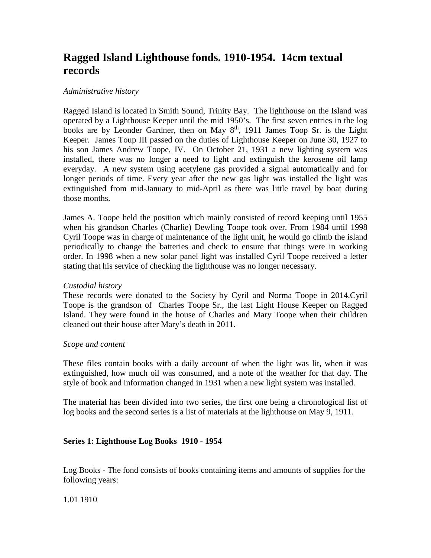# **Ragged Island Lighthouse fonds. 1910-1954. 14cm textual records**

## *Administrative history*

Ragged Island is located in Smith Sound, Trinity Bay. The lighthouse on the Island was operated by a Lighthouse Keeper until the mid 1950's. The first seven entries in the log books are by Leonder Gardner, then on May 8<sup>th</sup>, 1911 James Toop Sr. is the Light Keeper. James Toup III passed on the duties of Lighthouse Keeper on June 30, 1927 to his son James Andrew Toope, IV. On October 21, 1931 a new lighting system was installed, there was no longer a need to light and extinguish the kerosene oil lamp everyday. A new system using acetylene gas provided a signal automatically and for longer periods of time. Every year after the new gas light was installed the light was extinguished from mid-January to mid-April as there was little travel by boat during those months.

James A. Toope held the position which mainly consisted of record keeping until 1955 when his grandson Charles (Charlie) Dewling Toope took over. From 1984 until 1998 Cyril Toope was in charge of maintenance of the light unit, he would go climb the island periodically to change the batteries and check to ensure that things were in working order. In 1998 when a new solar panel light was installed Cyril Toope received a letter stating that his service of checking the lighthouse was no longer necessary.

## *Custodial history*

These records were donated to the Society by Cyril and Norma Toope in 2014.Cyril Toope is the grandson of Charles Toope Sr., the last Light House Keeper on Ragged Island. They were found in the house of Charles and Mary Toope when their children cleaned out their house after Mary's death in 2011.

### *Scope and content*

These files contain books with a daily account of when the light was lit, when it was extinguished, how much oil was consumed, and a note of the weather for that day. The style of book and information changed in 1931 when a new light system was installed.

The material has been divided into two series, the first one being a chronological list of log books and the second series is a list of materials at the lighthouse on May 9, 1911.

## **Series 1: Lighthouse Log Books 1910 - 1954**

Log Books - The fond consists of books containing items and amounts of supplies for the following years:

1.01 1910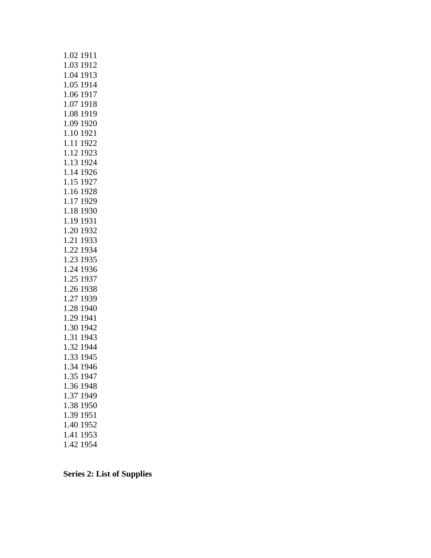| 1.02 1911     |  |
|---------------|--|
| 1.03 1912     |  |
| 1.04 1913     |  |
| 1.05 1914     |  |
| 1.06 1917     |  |
| 1.07 1918     |  |
| 1.08 1919     |  |
| 1.09 1920     |  |
| 1.10 1921     |  |
| 1.11 1922     |  |
| 1.12 1923     |  |
| 1.13 1924     |  |
| 1.14 1926     |  |
| 1.15 1927     |  |
| 1.16 1928     |  |
| 1.17 1929     |  |
| 1.18 1930     |  |
| 1.19 1931     |  |
| 1.20 1932     |  |
| 1.21 1933     |  |
| 1.22 1934     |  |
| 1.23 1935     |  |
| 1.24 1936     |  |
| 1.25 1937     |  |
| 1.26 1938     |  |
| 1.27 1939     |  |
| 1.28 1940     |  |
| 1.29 1941     |  |
| 1.30 1942     |  |
| 1.31 1943     |  |
| 1.32 1944     |  |
| 1.33 1945     |  |
| 34 1946<br>1. |  |
| 1.35<br>1947  |  |
| 1.36<br>1948  |  |
| 1.37<br>1949  |  |
| 1.38<br>1950  |  |
| 1.39<br>1951  |  |
| 1952<br>1.40  |  |
| 1.41<br>1953  |  |
| 1.42<br>1954  |  |

**Series 2: List of Supplies**